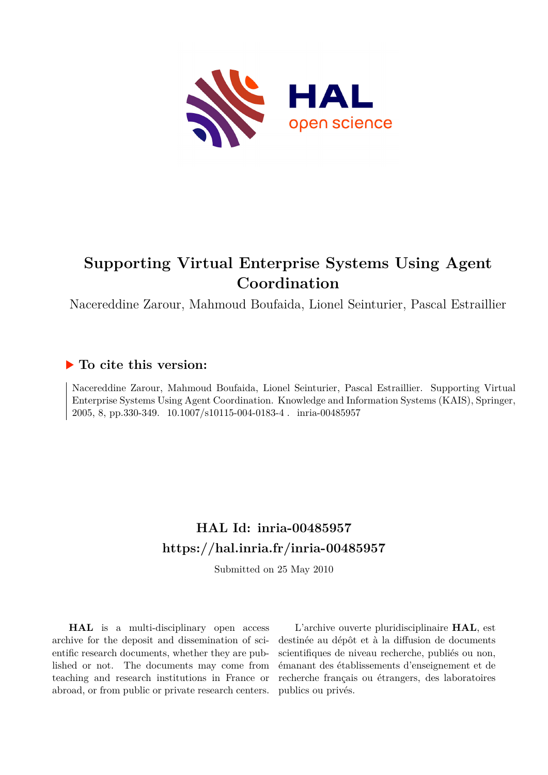

# **Supporting Virtual Enterprise Systems Using Agent Coordination**

Nacereddine Zarour, Mahmoud Boufaida, Lionel Seinturier, Pascal Estraillier

## **To cite this version:**

Nacereddine Zarour, Mahmoud Boufaida, Lionel Seinturier, Pascal Estraillier. Supporting Virtual Enterprise Systems Using Agent Coordination. Knowledge and Information Systems (KAIS), Springer, 2005, 8, pp.330-349.  $10.1007/s10115-004-0183-4$ . inria-00485957

# **HAL Id: inria-00485957 <https://hal.inria.fr/inria-00485957>**

Submitted on 25 May 2010

**HAL** is a multi-disciplinary open access archive for the deposit and dissemination of scientific research documents, whether they are published or not. The documents may come from teaching and research institutions in France or abroad, or from public or private research centers.

L'archive ouverte pluridisciplinaire **HAL**, est destinée au dépôt et à la diffusion de documents scientifiques de niveau recherche, publiés ou non, émanant des établissements d'enseignement et de recherche français ou étrangers, des laboratoires publics ou privés.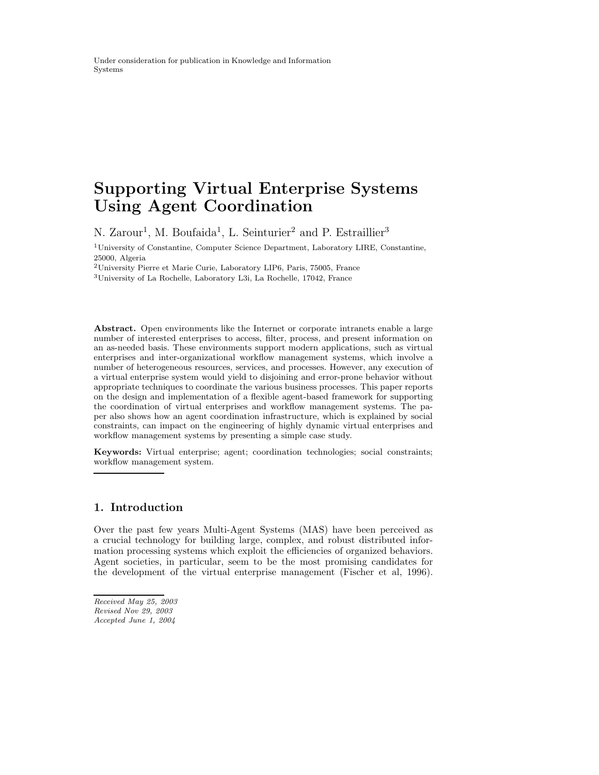Under consideration for publication in Knowledge and Information Systems

## **Supporting Virtual Enterprise Systems Using Agent Coordination**

N. Zarour<sup>1</sup>, M. Boufaida<sup>1</sup>, L. Seinturier<sup>2</sup> and P. Estraillier<sup>3</sup>

<sup>1</sup>University of Constantine, Computer Science Department, Laboratory LIRE, Constantine, 25000, Algeria

 $^2 \rm{University}$  Pierre et Marie Curie, Laboratory LIP6, Paris, 75005, France

<sup>3</sup>University of La Rochelle, Laboratory L3i, La Rochelle, 17042, France

**Abstract.** Open environments like the Internet or corporate intranets enable a large number of interested enterprises to access, filter, process, and present information on an as-needed basis. These environments support modern applications, such as virtual enterprises and inter-organizational workflow management systems, which involve a number of heterogeneous resources, services, and processes. However, any execution of a virtual enterprise system would yield to disjoining and error-prone behavior without appropriate techniques to coordinate the various business processes. This paper reports on the design and implementation of a flexible agent-based framework for supporting the coordination of virtual enterprises and workflow management systems. The paper also shows how an agent coordination infrastructure, which is explained by social constraints, can impact on the engineering of highly dynamic virtual enterprises and workflow management systems by presenting a simple case study.

**Keywords:** Virtual enterprise; agent; coordination technologies; social constraints; workflow management system.

## **1. Introduction**

Over the past few years Multi-Agent Systems (MAS) have been perceived as a crucial technology for building large, complex, and robust distributed information processing systems which exploit the efficiencies of organized behaviors. Agent societies, in particular, seem to be the most promising candidates for the development of the virtual enterprise management (Fischer et al, 1996).

*Received May 25, 2003 Revised Nov 29, 2003 Accepted June 1, 2004*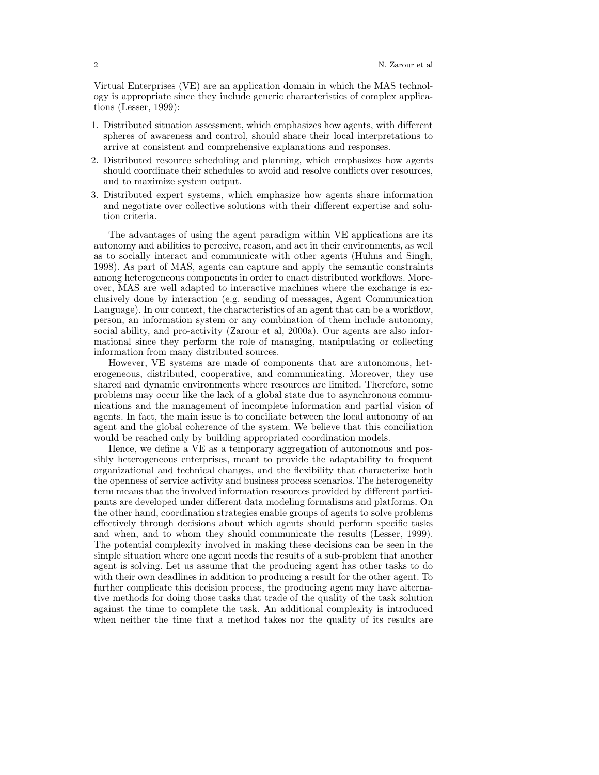Virtual Enterprises (VE) are an application domain in which the MAS technology is appropriate since they include generic characteristics of complex applications (Lesser, 1999):

- 1. Distributed situation assessment, which emphasizes how agents, with different spheres of awareness and control, should share their local interpretations to arrive at consistent and comprehensive explanations and responses.
- 2. Distributed resource scheduling and planning, which emphasizes how agents should coordinate their schedules to avoid and resolve conflicts over resources, and to maximize system output.
- 3. Distributed expert systems, which emphasize how agents share information and negotiate over collective solutions with their different expertise and solution criteria.

The advantages of using the agent paradigm within VE applications are its autonomy and abilities to perceive, reason, and act in their environments, as well as to socially interact and communicate with other agents (Huhns and Singh, 1998). As part of MAS, agents can capture and apply the semantic constraints among heterogeneous components in order to enact distributed workflows. Moreover, MAS are well adapted to interactive machines where the exchange is exclusively done by interaction (e.g. sending of messages, Agent Communication Language). In our context, the characteristics of an agent that can be a workflow, person, an information system or any combination of them include autonomy, social ability, and pro-activity (Zarour et al, 2000a). Our agents are also informational since they perform the role of managing, manipulating or collecting information from many distributed sources.

However, VE systems are made of components that are autonomous, heterogeneous, distributed, cooperative, and communicating. Moreover, they use shared and dynamic environments where resources are limited. Therefore, some problems may occur like the lack of a global state due to asynchronous communications and the management of incomplete information and partial vision of agents. In fact, the main issue is to conciliate between the local autonomy of an agent and the global coherence of the system. We believe that this conciliation would be reached only by building appropriated coordination models.

Hence, we define a VE as a temporary aggregation of autonomous and possibly heterogeneous enterprises, meant to provide the adaptability to frequent organizational and technical changes, and the flexibility that characterize both the openness of service activity and business process scenarios. The heterogeneity term means that the involved information resources provided by different participants are developed under different data modeling formalisms and platforms. On the other hand, coordination strategies enable groups of agents to solve problems effectively through decisions about which agents should perform specific tasks and when, and to whom they should communicate the results (Lesser, 1999). The potential complexity involved in making these decisions can be seen in the simple situation where one agent needs the results of a sub-problem that another agent is solving. Let us assume that the producing agent has other tasks to do with their own deadlines in addition to producing a result for the other agent. To further complicate this decision process, the producing agent may have alternative methods for doing those tasks that trade of the quality of the task solution against the time to complete the task. An additional complexity is introduced when neither the time that a method takes nor the quality of its results are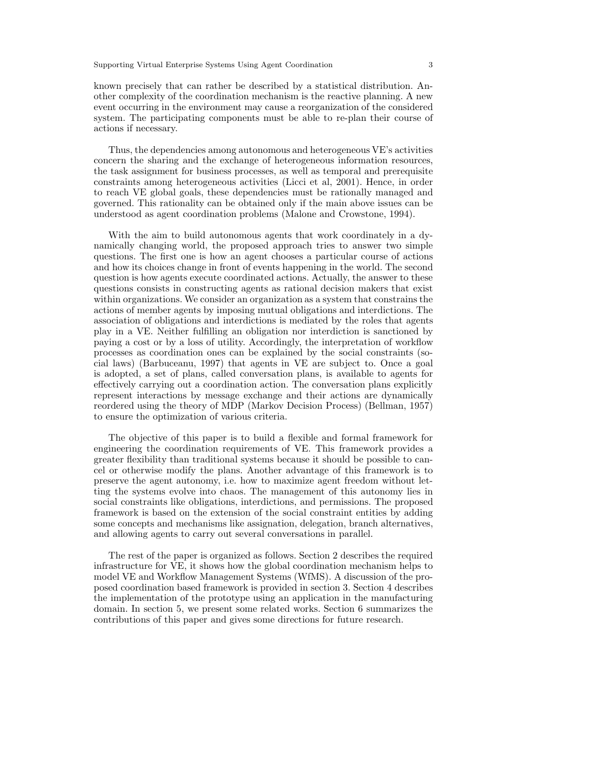known precisely that can rather be described by a statistical distribution. Another complexity of the coordination mechanism is the reactive planning. A new event occurring in the environment may cause a reorganization of the considered system. The participating components must be able to re-plan their course of actions if necessary.

Thus, the dependencies among autonomous and heterogeneous VE's activities concern the sharing and the exchange of heterogeneous information resources, the task assignment for business processes, as well as temporal and prerequisite constraints among heterogeneous activities (Licci et al, 2001). Hence, in order to reach VE global goals, these dependencies must be rationally managed and governed. This rationality can be obtained only if the main above issues can be understood as agent coordination problems (Malone and Crowstone, 1994).

With the aim to build autonomous agents that work coordinately in a dynamically changing world, the proposed approach tries to answer two simple questions. The first one is how an agent chooses a particular course of actions and how its choices change in front of events happening in the world. The second question is how agents execute coordinated actions. Actually, the answer to these questions consists in constructing agents as rational decision makers that exist within organizations. We consider an organization as a system that constrains the actions of member agents by imposing mutual obligations and interdictions. The association of obligations and interdictions is mediated by the roles that agents play in a VE. Neither fulfilling an obligation nor interdiction is sanctioned by paying a cost or by a loss of utility. Accordingly, the interpretation of workflow processes as coordination ones can be explained by the social constraints (social laws) (Barbuceanu, 1997) that agents in VE are subject to. Once a goal is adopted, a set of plans, called conversation plans, is available to agents for effectively carrying out a coordination action. The conversation plans explicitly represent interactions by message exchange and their actions are dynamically reordered using the theory of MDP (Markov Decision Process) (Bellman, 1957) to ensure the optimization of various criteria.

The objective of this paper is to build a flexible and formal framework for engineering the coordination requirements of VE. This framework provides a greater flexibility than traditional systems because it should be possible to cancel or otherwise modify the plans. Another advantage of this framework is to preserve the agent autonomy, i.e. how to maximize agent freedom without letting the systems evolve into chaos. The management of this autonomy lies in social constraints like obligations, interdictions, and permissions. The proposed framework is based on the extension of the social constraint entities by adding some concepts and mechanisms like assignation, delegation, branch alternatives, and allowing agents to carry out several conversations in parallel.

The rest of the paper is organized as follows. Section 2 describes the required infrastructure for VE, it shows how the global coordination mechanism helps to model VE and Workflow Management Systems (WfMS). A discussion of the proposed coordination based framework is provided in section 3. Section 4 describes the implementation of the prototype using an application in the manufacturing domain. In section 5, we present some related works. Section 6 summarizes the contributions of this paper and gives some directions for future research.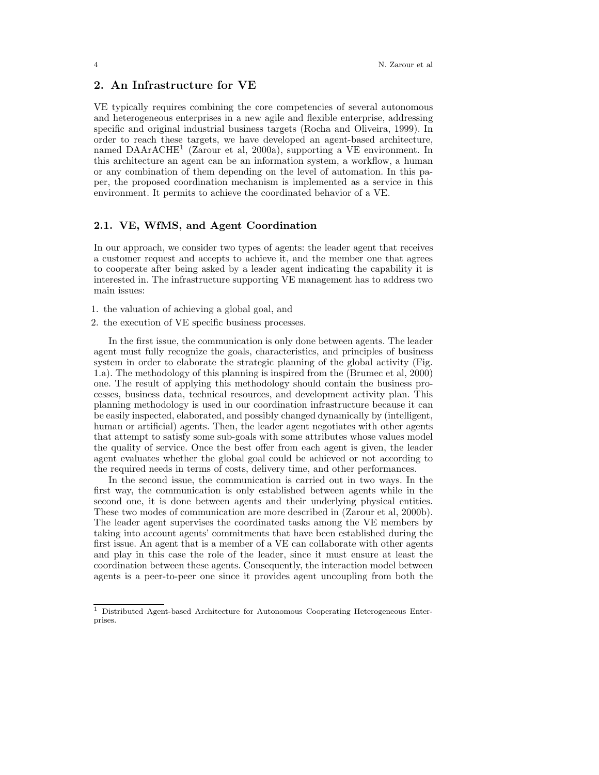#### **2. An Infrastructure for VE**

VE typically requires combining the core competencies of several autonomous and heterogeneous enterprises in a new agile and flexible enterprise, addressing specific and original industrial business targets (Rocha and Oliveira, 1999). In order to reach these targets, we have developed an agent-based architecture, named DAArACHE<sup>1</sup> (Zarour et al, 2000a), supporting a VE environment. In this architecture an agent can be an information system, a workflow, a human or any combination of them depending on the level of automation. In this paper, the proposed coordination mechanism is implemented as a service in this environment. It permits to achieve the coordinated behavior of a VE.

## **2.1. VE, WfMS, and Agent Coordination**

In our approach, we consider two types of agents: the leader agent that receives a customer request and accepts to achieve it, and the member one that agrees to cooperate after being asked by a leader agent indicating the capability it is interested in. The infrastructure supporting VE management has to address two main issues:

- 1. the valuation of achieving a global goal, and
- 2. the execution of VE specific business processes.

In the first issue, the communication is only done between agents. The leader agent must fully recognize the goals, characteristics, and principles of business system in order to elaborate the strategic planning of the global activity (Fig. 1.a). The methodology of this planning is inspired from the (Brumec et al, 2000) one. The result of applying this methodology should contain the business processes, business data, technical resources, and development activity plan. This planning methodology is used in our coordination infrastructure because it can be easily inspected, elaborated, and possibly changed dynamically by (intelligent, human or artificial) agents. Then, the leader agent negotiates with other agents that attempt to satisfy some sub-goals with some attributes whose values model the quality of service. Once the best offer from each agent is given, the leader agent evaluates whether the global goal could be achieved or not according to the required needs in terms of costs, delivery time, and other performances.

In the second issue, the communication is carried out in two ways. In the first way, the communication is only established between agents while in the second one, it is done between agents and their underlying physical entities. These two modes of communication are more described in (Zarour et al, 2000b). The leader agent supervises the coordinated tasks among the VE members by taking into account agents' commitments that have been established during the first issue. An agent that is a member of a VE can collaborate with other agents and play in this case the role of the leader, since it must ensure at least the coordination between these agents. Consequently, the interaction model between agents is a peer-to-peer one since it provides agent uncoupling from both the

 $^{\rm 1}$  Distributed Agent-based Architecture for Autonomous Cooperating Heterogeneous Enterprises.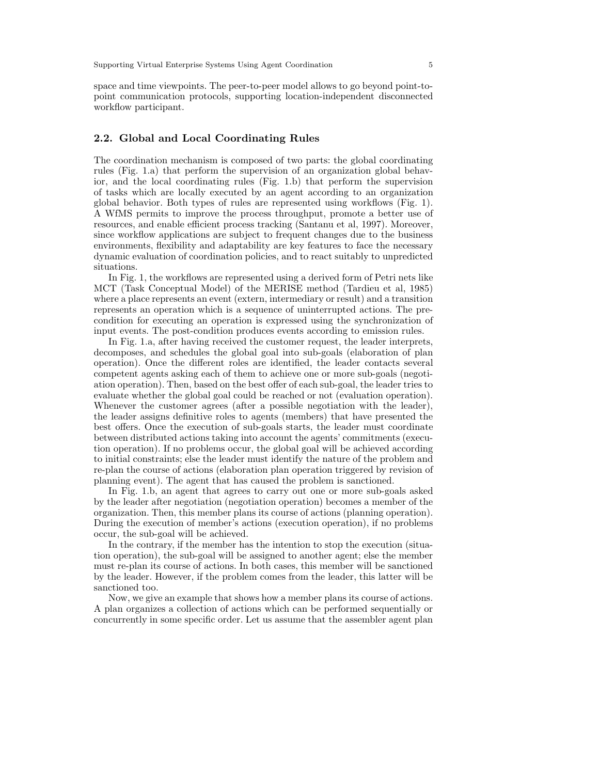space and time viewpoints. The peer-to-peer model allows to go beyond point-topoint communication protocols, supporting location-independent disconnected workflow participant.

#### **2.2. Global and Local Coordinating Rules**

The coordination mechanism is composed of two parts: the global coordinating rules (Fig. 1.a) that perform the supervision of an organization global behavior, and the local coordinating rules (Fig. 1.b) that perform the supervision of tasks which are locally executed by an agent according to an organization global behavior. Both types of rules are represented using workflows (Fig. 1). A WfMS permits to improve the process throughput, promote a better use of resources, and enable efficient process tracking (Santanu et al, 1997). Moreover, since workflow applications are subject to frequent changes due to the business environments, flexibility and adaptability are key features to face the necessary dynamic evaluation of coordination policies, and to react suitably to unpredicted situations.

In Fig. 1, the workflows are represented using a derived form of Petri nets like MCT (Task Conceptual Model) of the MERISE method (Tardieu et al, 1985) where a place represents an event (extern, intermediary or result) and a transition represents an operation which is a sequence of uninterrupted actions. The precondition for executing an operation is expressed using the synchronization of input events. The post-condition produces events according to emission rules.

In Fig. 1.a, after having received the customer request, the leader interprets, decomposes, and schedules the global goal into sub-goals (elaboration of plan operation). Once the different roles are identified, the leader contacts several competent agents asking each of them to achieve one or more sub-goals (negotiation operation). Then, based on the best offer of each sub-goal, the leader tries to evaluate whether the global goal could be reached or not (evaluation operation). Whenever the customer agrees (after a possible negotiation with the leader), the leader assigns definitive roles to agents (members) that have presented the best offers. Once the execution of sub-goals starts, the leader must coordinate between distributed actions taking into account the agents' commitments (execution operation). If no problems occur, the global goal will be achieved according to initial constraints; else the leader must identify the nature of the problem and re-plan the course of actions (elaboration plan operation triggered by revision of planning event). The agent that has caused the problem is sanctioned.

In Fig. 1.b, an agent that agrees to carry out one or more sub-goals asked by the leader after negotiation (negotiation operation) becomes a member of the organization. Then, this member plans its course of actions (planning operation). During the execution of member's actions (execution operation), if no problems occur, the sub-goal will be achieved.

In the contrary, if the member has the intention to stop the execution (situation operation), the sub-goal will be assigned to another agent; else the member must re-plan its course of actions. In both cases, this member will be sanctioned by the leader. However, if the problem comes from the leader, this latter will be sanctioned too.

Now, we give an example that shows how a member plans its course of actions. A plan organizes a collection of actions which can be performed sequentially or concurrently in some specific order. Let us assume that the assembler agent plan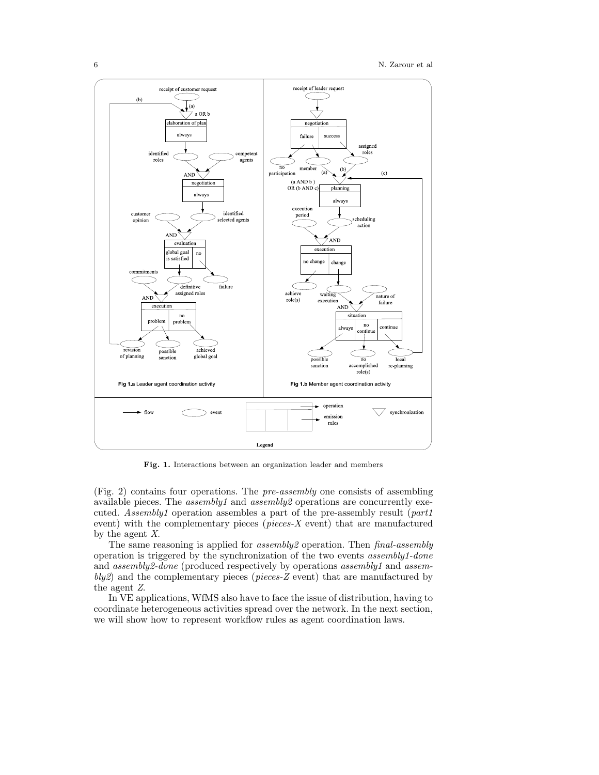

**Fig. 1.** Interactions between an organization leader and members

(Fig. 2) contains four operations. The *pre-assembly* one consists of assembling available pieces. The *assembly1* and *assembly2* operations are concurrently executed. *Assembly1* operation assembles a part of the pre-assembly result (*part1* event) with the complementary pieces (*pieces-X* event) that are manufactured by the agent *X*.

The same reasoning is applied for *assembly2* operation. Then *final-assembly* operation is triggered by the synchronization of the two events *assembly1-done* and *assembly2-done* (produced respectively by operations *assembly1* and *assembly2*) and the complementary pieces (*pieces-Z* event) that are manufactured by the agent *Z*.

In VE applications, WfMS also have to face the issue of distribution, having to coordinate heterogeneous activities spread over the network. In the next section, we will show how to represent workflow rules as agent coordination laws.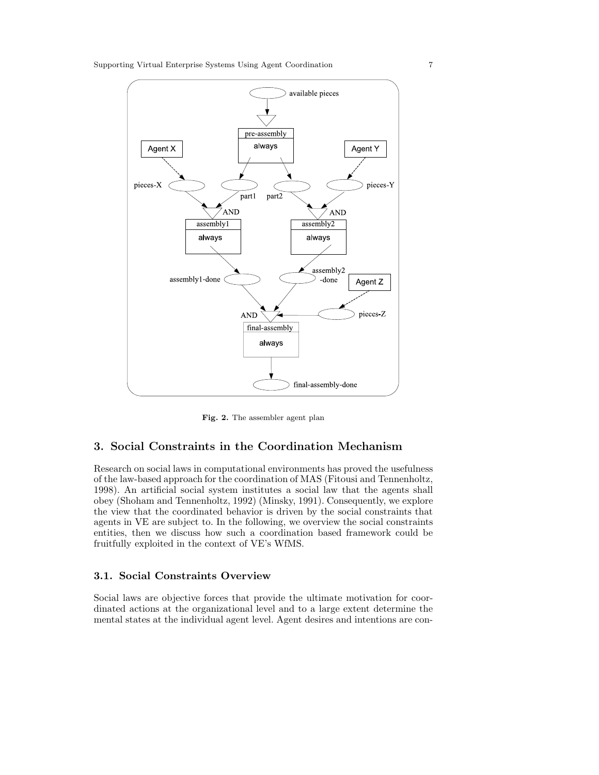

**Fig. 2.** The assembler agent plan

## **3. Social Constraints in the Coordination Mechanism**

Research on social laws in computational environments has proved the usefulness of the law-based approach for the coordination of MAS (Fitousi and Tennenholtz, 1998). An artificial social system institutes a social law that the agents shall obey (Shoham and Tennenholtz, 1992) (Minsky, 1991). Consequently, we explore the view that the coordinated behavior is driven by the social constraints that agents in VE are subject to. In the following, we overview the social constraints entities, then we discuss how such a coordination based framework could be fruitfully exploited in the context of VE's WfMS.

## **3.1. Social Constraints Overview**

Social laws are objective forces that provide the ultimate motivation for coordinated actions at the organizational level and to a large extent determine the mental states at the individual agent level. Agent desires and intentions are con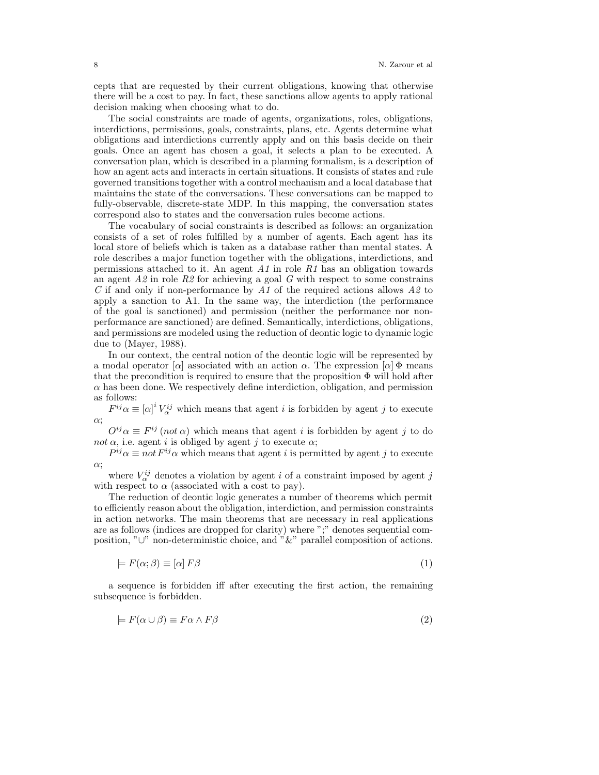cepts that are requested by their current obligations, knowing that otherwise there will be a cost to pay. In fact, these sanctions allow agents to apply rational decision making when choosing what to do.

The social constraints are made of agents, organizations, roles, obligations, interdictions, permissions, goals, constraints, plans, etc. Agents determine what obligations and interdictions currently apply and on this basis decide on their goals. Once an agent has chosen a goal, it selects a plan to be executed. A conversation plan, which is described in a planning formalism, is a description of how an agent acts and interacts in certain situations. It consists of states and rule governed transitions together with a control mechanism and a local database that maintains the state of the conversations. These conversations can be mapped to fully-observable, discrete-state MDP. In this mapping, the conversation states correspond also to states and the conversation rules become actions.

The vocabulary of social constraints is described as follows: an organization consists of a set of roles fulfilled by a number of agents. Each agent has its local store of beliefs which is taken as a database rather than mental states. A role describes a major function together with the obligations, interdictions, and permissions attached to it. An agent *A1* in role *R1* has an obligation towards an agent *A2* in role *R2* for achieving a goal *G* with respect to some constrains *C* if and only if non-performance by *A1* of the required actions allows *A2* to apply a sanction to A1. In the same way, the interdiction (the performance of the goal is sanctioned) and permission (neither the performance nor nonperformance are sanctioned) are defined. Semantically, interdictions, obligations, and permissions are modeled using the reduction of deontic logic to dynamic logic due to (Mayer, 1988).

In our context, the central notion of the deontic logic will be represented by a modal operator  $\alpha$  associated with an action  $\alpha$ . The expression  $\alpha$   $\Phi$  means that the precondition is required to ensure that the proposition  $\Phi$  will hold after  $\alpha$  has been done. We respectively define interdiction, obligation, and permission as follows:

 $F^{ij}\alpha \equiv [\alpha]^{i}V^{ij}_{\alpha}$  which means that agent *i* is forbidden by agent *j* to execute α;

 $O^{ij}\alpha \equiv F^{ij}$  (not  $\alpha$ ) which means that agent i is forbidden by agent j to do not  $\alpha$ , i.e. agent i is obliged by agent j to execute  $\alpha$ ;

 $P^{ij}\alpha \equiv \vec{n}$  which means that agent i is permitted by agent j to execute α;

where  $V_{\alpha}^{ij}$  denotes a violation by agent *i* of a constraint imposed by agent *j* with respect to  $\alpha$  (associated with a cost to pay).

The reduction of deontic logic generates a number of theorems which permit to efficiently reason about the obligation, interdiction, and permission constraints in action networks. The main theorems that are necessary in real applications are as follows (indices are dropped for clarity) where ";" denotes sequential composition, "∪" non-deterministic choice, and "&" parallel composition of actions.

$$
\models F(\alpha;\beta) \equiv [\alpha]F\beta \tag{1}
$$

a sequence is forbidden iff after executing the first action, the remaining subsequence is forbidden.

$$
\models F(\alpha \cup \beta) \equiv F\alpha \land F\beta \tag{2}
$$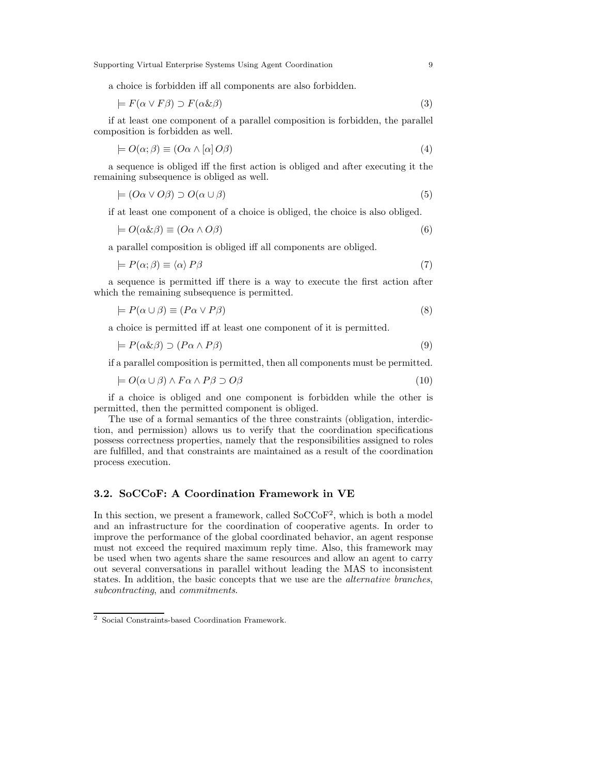Supporting Virtual Enterprise Systems Using Agent Coordination 9

a choice is forbidden iff all components are also forbidden.

$$
\models F(\alpha \lor F\beta) \supset F(\alpha \& \beta) \tag{3}
$$

if at least one component of a parallel composition is forbidden, the parallel composition is forbidden as well.

$$
\models O(\alpha;\beta) \equiv (O\alpha \land [\alpha] O\beta) \tag{4}
$$

a sequence is obliged iff the first action is obliged and after executing it the remaining subsequence is obliged as well.

$$
\models (O\alpha \lor O\beta) \supset O(\alpha \cup \beta) \tag{5}
$$

if at least one component of a choice is obliged, the choice is also obliged.

$$
\models O(\alpha \& \beta) \equiv (O\alpha \land O\beta) \tag{6}
$$

a parallel composition is obliged iff all components are obliged.

$$
\models P(\alpha;\beta) \equiv \langle \alpha \rangle \, P\beta \tag{7}
$$

a sequence is permitted iff there is a way to execute the first action after which the remaining subsequence is permitted.

$$
\models P(\alpha \cup \beta) \equiv (P\alpha \vee P\beta) \tag{8}
$$

a choice is permitted iff at least one component of it is permitted.

$$
\models P(\alpha \& \beta) \supset (P\alpha \land P\beta) \tag{9}
$$

if a parallel composition is permitted, then all components must be permitted.

$$
\models O(\alpha \cup \beta) \land F\alpha \land P\beta \supset O\beta \tag{10}
$$

if a choice is obliged and one component is forbidden while the other is permitted, then the permitted component is obliged.

The use of a formal semantics of the three constraints (obligation, interdiction, and permission) allows us to verify that the coordination specifications possess correctness properties, namely that the responsibilities assigned to roles are fulfilled, and that constraints are maintained as a result of the coordination process execution.

#### **3.2. SoCCoF: A Coordination Framework in VE**

In this section, we present a framework, called  $SocCoF<sup>2</sup>$ , which is both a model and an infrastructure for the coordination of cooperative agents. In order to improve the performance of the global coordinated behavior, an agent response must not exceed the required maximum reply time. Also, this framework may be used when two agents share the same resources and allow an agent to carry out several conversations in parallel without leading the MAS to inconsistent states. In addition, the basic concepts that we use are the *alternative branches*, *subcontracting*, and *commitments*.

<sup>2</sup> Social Constraints-based Coordination Framework.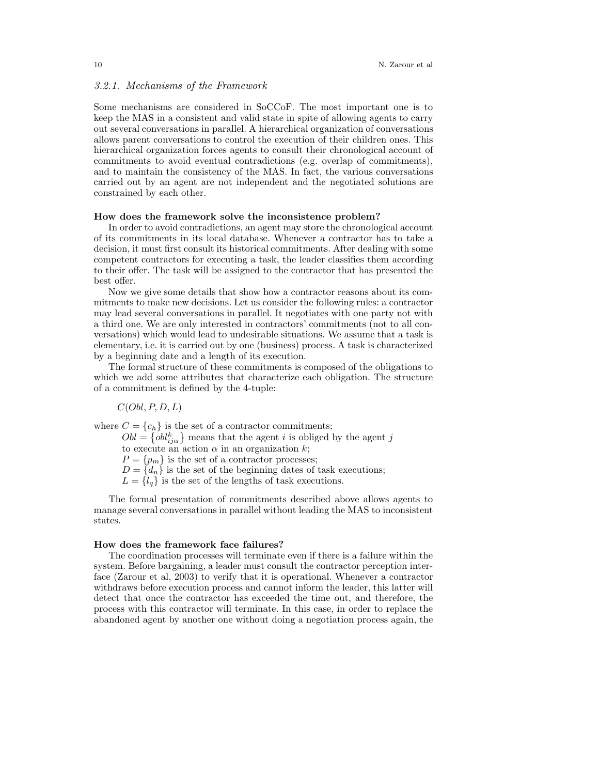#### *3.2.1. Mechanisms of the Framework*

Some mechanisms are considered in SoCCoF. The most important one is to keep the MAS in a consistent and valid state in spite of allowing agents to carry out several conversations in parallel. A hierarchical organization of conversations allows parent conversations to control the execution of their children ones. This hierarchical organization forces agents to consult their chronological account of commitments to avoid eventual contradictions (e.g. overlap of commitments), and to maintain the consistency of the MAS. In fact, the various conversations carried out by an agent are not independent and the negotiated solutions are constrained by each other.

#### **How does the framework solve the inconsistence problem?**

In order to avoid contradictions, an agent may store the chronological account of its commitments in its local database. Whenever a contractor has to take a decision, it must first consult its historical commitments. After dealing with some competent contractors for executing a task, the leader classifies them according to their offer. The task will be assigned to the contractor that has presented the best offer.

Now we give some details that show how a contractor reasons about its commitments to make new decisions. Let us consider the following rules: a contractor may lead several conversations in parallel. It negotiates with one party not with a third one. We are only interested in contractors' commitments (not to all conversations) which would lead to undesirable situations. We assume that a task is elementary, i.e. it is carried out by one (business) process. A task is characterized by a beginning date and a length of its execution.

The formal structure of these commitments is composed of the obligations to which we add some attributes that characterize each obligation. The structure of a commitment is defined by the 4-tuple:

 $C(Obl, P, D, L)$ 

where  $C = \{c_h\}$  is the set of a contractor commitments;

 $Obl = \{obl_{ij\alpha}^k\}$  means that the agent i is obliged by the agent j

to execute an action  $\alpha$  in an organization k;

 $P = \{p_m\}$  is the set of a contractor processes;

 $D = \{d_n\}$  is the set of the beginning dates of task executions;

 $L = \{l_q\}$  is the set of the lengths of task executions.

The formal presentation of commitments described above allows agents to manage several conversations in parallel without leading the MAS to inconsistent states.

#### **How does the framework face failures?**

The coordination processes will terminate even if there is a failure within the system. Before bargaining, a leader must consult the contractor perception interface (Zarour et al, 2003) to verify that it is operational. Whenever a contractor withdraws before execution process and cannot inform the leader, this latter will detect that once the contractor has exceeded the time out, and therefore, the process with this contractor will terminate. In this case, in order to replace the abandoned agent by another one without doing a negotiation process again, the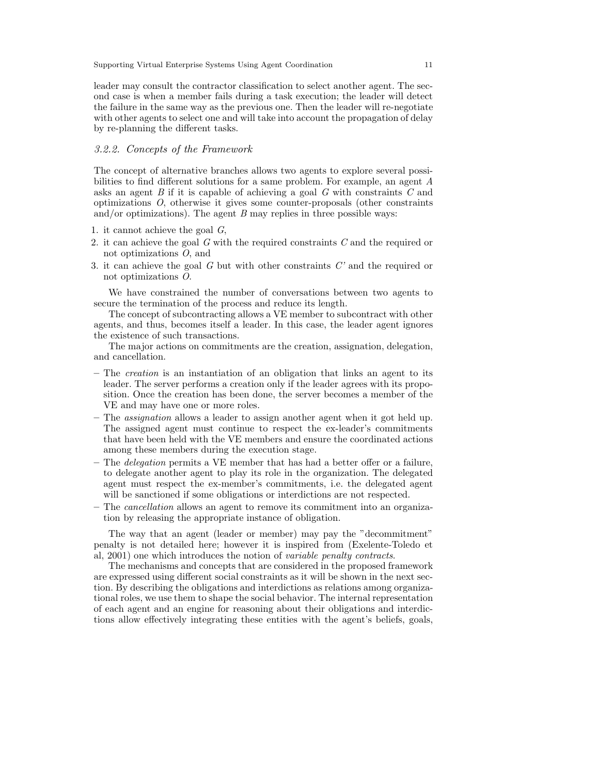leader may consult the contractor classification to select another agent. The second case is when a member fails during a task execution; the leader will detect the failure in the same way as the previous one. Then the leader will re-negotiate with other agents to select one and will take into account the propagation of delay by re-planning the different tasks.

#### *3.2.2. Concepts of the Framework*

The concept of alternative branches allows two agents to explore several possibilities to find different solutions for a same problem. For example, an agent *A* asks an agent *B* if it is capable of achieving a goal *G* with constraints *C* and optimizations *O*, otherwise it gives some counter-proposals (other constraints and/or optimizations). The agent  $B$  may replies in three possible ways:

- 1. it cannot achieve the goal *G*,
- 2. it can achieve the goal *G* with the required constraints *C* and the required or not optimizations *O*, and
- 3. it can achieve the goal *G* but with other constraints *C'* and the required or not optimizations *O*.

We have constrained the number of conversations between two agents to secure the termination of the process and reduce its length.

The concept of subcontracting allows a VE member to subcontract with other agents, and thus, becomes itself a leader. In this case, the leader agent ignores the existence of such transactions.

The major actions on commitments are the creation, assignation, delegation, and cancellation.

- **–** The *creation* is an instantiation of an obligation that links an agent to its leader. The server performs a creation only if the leader agrees with its proposition. Once the creation has been done, the server becomes a member of the VE and may have one or more roles.
- **–** The *assignation* allows a leader to assign another agent when it got held up. The assigned agent must continue to respect the ex-leader's commitments that have been held with the VE members and ensure the coordinated actions among these members during the execution stage.
- **–** The *delegation* permits a VE member that has had a better offer or a failure, to delegate another agent to play its role in the organization. The delegated agent must respect the ex-member's commitments, i.e. the delegated agent will be sanctioned if some obligations or interdictions are not respected.
- **–** The *cancellation* allows an agent to remove its commitment into an organization by releasing the appropriate instance of obligation.

The way that an agent (leader or member) may pay the "decommitment" penalty is not detailed here; however it is inspired from (Exelente-Toledo et al, 2001) one which introduces the notion of *variable penalty contracts*.

The mechanisms and concepts that are considered in the proposed framework are expressed using different social constraints as it will be shown in the next section. By describing the obligations and interdictions as relations among organizational roles, we use them to shape the social behavior. The internal representation of each agent and an engine for reasoning about their obligations and interdictions allow effectively integrating these entities with the agent's beliefs, goals,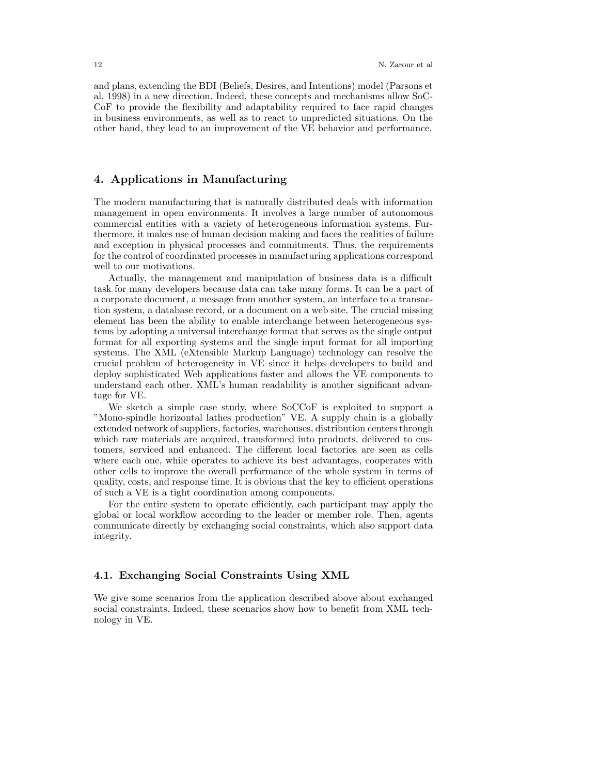and plans, extending the BDI (Beliefs, Desires, and Intentions) model (Parsons et al, 1998) in a new direction. Indeed, these concepts and mechanisms allow SoC-CoF to provide the flexibility and adaptability required to face rapid changes in business environments, as well as to react to unpredicted situations. On the other hand, they lead to an improvement of the VE behavior and performance.

## **4. Applications in Manufacturing**

The modern manufacturing that is naturally distributed deals with information management in open environments. It involves a large number of autonomous commercial entities with a variety of heterogeneous information systems. Furthermore, it makes use of human decision making and faces the realities of failure and exception in physical processes and commitments. Thus, the requirements for the control of coordinated processes in manufacturing applications correspond well to our motivations.

Actually, the management and manipulation of business data is a difficult task for many developers because data can take many forms. It can be a part of a corporate document, a message from another system, an interface to a transaction system, a database record, or a document on a web site. The crucial missing element has been the ability to enable interchange between heterogeneous systems by adopting a universal interchange format that serves as the single output format for all exporting systems and the single input format for all importing systems. The XML (eXtensible Markup Language) technology can resolve the crucial problem of heterogeneity in VE since it helps developers to build and deploy sophisticated Web applications faster and allows the VE components to understand each other. XML's human readability is another significant advantage for VE.

We sketch a simple case study, where SoCCoF is exploited to support a "Mono-spindle horizontal lathes production" VE. A supply chain is a globally extended network of suppliers, factories, warehouses, distribution centers through which raw materials are acquired, transformed into products, delivered to customers, serviced and enhanced. The different local factories are seen as cells where each one, while operates to achieve its best advantages, cooperates with other cells to improve the overall performance of the whole system in terms of quality, costs, and response time. It is obvious that the key to efficient operations of such a VE is a tight coordination among components.

For the entire system to operate efficiently, each participant may apply the global or local workflow according to the leader or member role. Then, agents communicate directly by exchanging social constraints, which also support data integrity.

#### **4.1. Exchanging Social Constraints Using XML**

We give some scenarios from the application described above about exchanged social constraints. Indeed, these scenarios show how to benefit from XML technology in VE.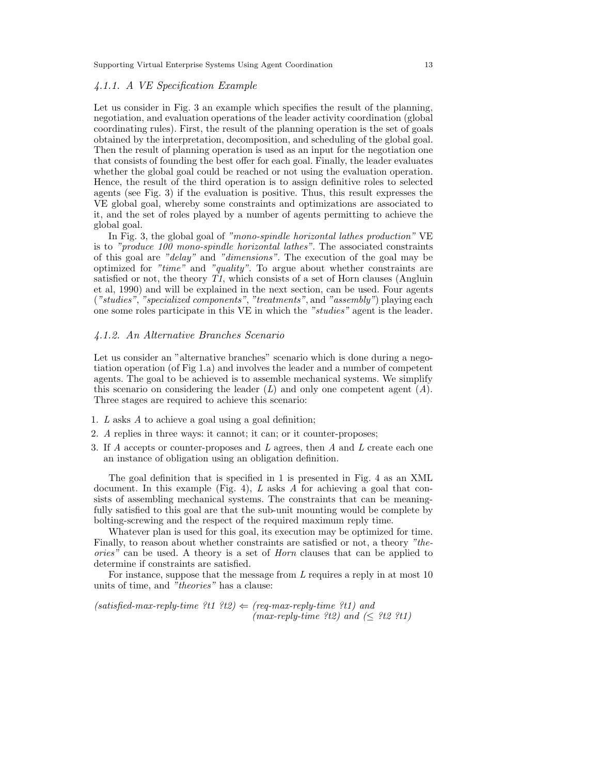## *4.1.1. A VE Specification Example*

Let us consider in Fig. 3 an example which specifies the result of the planning, negotiation, and evaluation operations of the leader activity coordination (global coordinating rules). First, the result of the planning operation is the set of goals obtained by the interpretation, decomposition, and scheduling of the global goal. Then the result of planning operation is used as an input for the negotiation one that consists of founding the best offer for each goal. Finally, the leader evaluates whether the global goal could be reached or not using the evaluation operation. Hence, the result of the third operation is to assign definitive roles to selected agents (see Fig. 3) if the evaluation is positive. Thus, this result expresses the VE global goal, whereby some constraints and optimizations are associated to it, and the set of roles played by a number of agents permitting to achieve the global goal.

In Fig. 3, the global goal of *"mono-spindle horizontal lathes production"* VE is to *"produce 100 mono-spindle horizontal lathes"*. The associated constraints of this goal are *"delay"* and *"dimensions"*. The execution of the goal may be optimized for *"time"* and *"quality"*. To argue about whether constraints are satisfied or not, the theory *T1*, which consists of a set of Horn clauses (Angluin et al, 1990) and will be explained in the next section, can be used. Four agents (*"studies"*, *"specialized components"*, *"treatments"*, and *"assembly"*) playing each one some roles participate in this VE in which the *"studies"* agent is the leader.

#### *4.1.2. An Alternative Branches Scenario*

Let us consider an "alternative branches" scenario which is done during a negotiation operation (of Fig 1.a) and involves the leader and a number of competent agents. The goal to be achieved is to assemble mechanical systems. We simplify this scenario on considering the leader (*L*) and only one competent agent (*A*). Three stages are required to achieve this scenario:

- 1. *L* asks *A* to achieve a goal using a goal definition;
- 2. *A* replies in three ways: it cannot; it can; or it counter-proposes;
- 3. If *A* accepts or counter-proposes and *L* agrees, then *A* and *L* create each one an instance of obligation using an obligation definition.

The goal definition that is specified in 1 is presented in Fig. 4 as an XML document. In this example (Fig. 4), *L* asks *A* for achieving a goal that consists of assembling mechanical systems. The constraints that can be meaningfully satisfied to this goal are that the sub-unit mounting would be complete by bolting-screwing and the respect of the required maximum reply time.

Whatever plan is used for this goal, its execution may be optimized for time. Finally, to reason about whether constraints are satisfied or not, a theory *"theories"* can be used. A theory is a set of *Horn* clauses that can be applied to determine if constraints are satisfied.

For instance, suppose that the message from *L* requires a reply in at most 10 units of time, and *"theories"* has a clause:

 $(satisfied-max-reply-time ?t1 ?t2) \Leftarrow (req-max-reply-time ?t1) and$ *(max-reply-time ?t2) and (*≤ *?t2 ?t1)*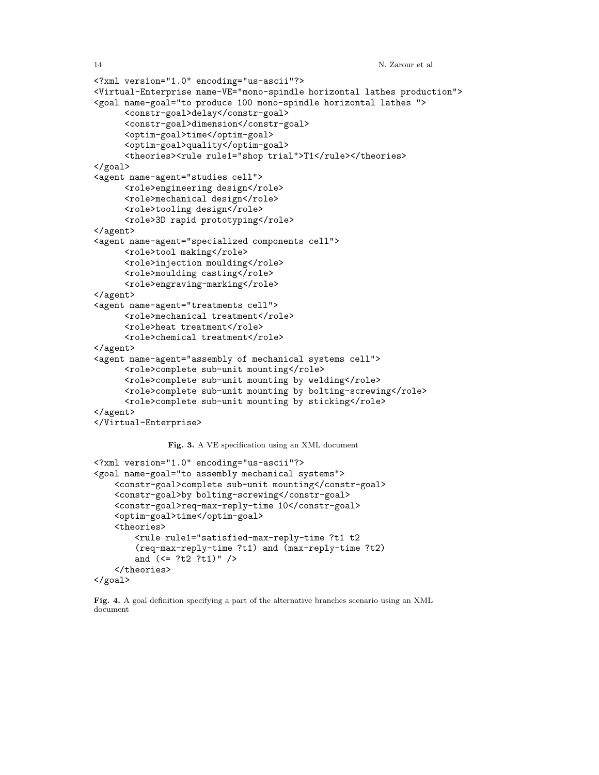```
14 N. Zarour et al.
<?xml version="1.0" encoding="us-ascii"?>
<Virtual-Enterprise name-VE="mono-spindle horizontal lathes production">
<goal name-goal="to produce 100 mono-spindle horizontal lathes ">
     <constr-goal>delay</constr-goal>
     <constr-goal>dimension</constr-goal>
     <optim-goal>time</optim-goal>
     <optim-goal>quality</optim-goal>
     <theories><rule rule1="shop trial">T1</rule></theories>
</goal>
<agent name-agent="studies cell">
     <role>engineering design</role>
     <role>mechanical design</role>
     <role>tooling design</role>
     <role>3D rapid prototyping</role>
</agent>
<agent name-agent="specialized components cell">
     <role>tool making</role>
     <role>injection moulding</role>
     <role>moulding casting</role>
     <role>engraving-marking</role>
</agent>
<agent name-agent="treatments cell">
     <role>mechanical treatment</role>
     <role>heat treatment</role>
     <role>chemical treatment</role>
</agent>
<agent name-agent="assembly of mechanical systems cell">
     <role>complete sub-unit mounting</role>
```

```
<role>complete sub-unit mounting by welding</role>
     <role>complete sub-unit mounting by bolting-screwing</role>
     <role>complete sub-unit mounting by sticking</role>
</agent>
```

```
</Virtual-Enterprise>
```
**Fig. 3.** A VE specification using an XML document

```
<?xml version="1.0" encoding="us-ascii"?>
<goal name-goal="to assembly mechanical systems">
   <constr-goal>complete sub-unit mounting</constr-goal>
   <constr-goal>by bolting-screwing</constr-goal>
   <constr-goal>req-max-reply-time 10</constr-goal>
    <optim-goal>time</optim-goal>
    <theories>
        <rule rule1="satisfied-max-reply-time ?t1 t2
        (req-max-reply-time ?t1) and (max-reply-time ?t2)
        and (<= ?t2 ?t1)" />
   </theories>
</goal>
```
**Fig. 4.** A goal definition specifying a part of the alternative branches scenario using an XML document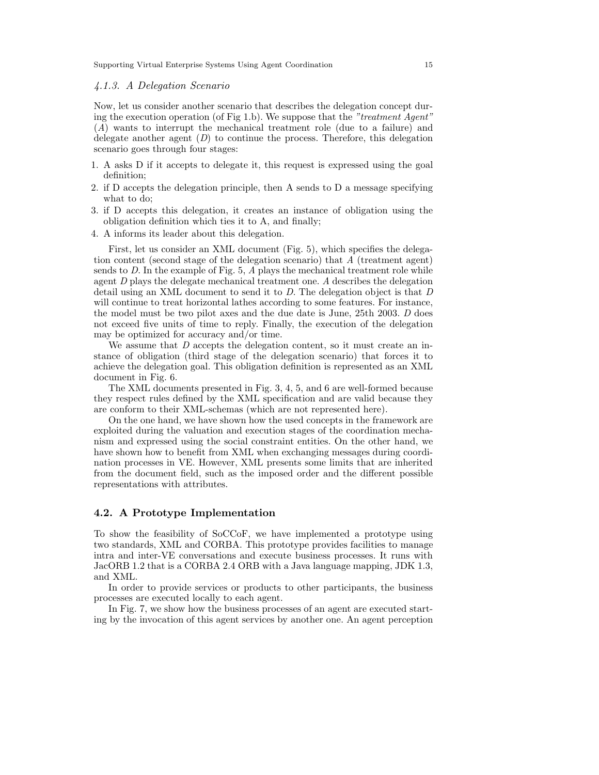## *4.1.3. A Delegation Scenario*

Now, let us consider another scenario that describes the delegation concept during the execution operation (of Fig 1.b). We suppose that the *"treatment Agent"* (*A*) wants to interrupt the mechanical treatment role (due to a failure) and delegate another agent (*D*) to continue the process. Therefore, this delegation scenario goes through four stages:

- 1. A asks D if it accepts to delegate it, this request is expressed using the goal definition;
- 2. if D accepts the delegation principle, then A sends to D a message specifying what to do;
- 3. if D accepts this delegation, it creates an instance of obligation using the obligation definition which ties it to A, and finally;
- 4. A informs its leader about this delegation.

First, let us consider an XML document (Fig. 5), which specifies the delegation content (second stage of the delegation scenario) that *A* (treatment agent) sends to *D*. In the example of Fig. 5, *A* plays the mechanical treatment role while agent *D* plays the delegate mechanical treatment one. *A* describes the delegation detail using an XML document to send it to *D*. The delegation object is that *D* will continue to treat horizontal lathes according to some features. For instance, the model must be two pilot axes and the due date is June, 25th 2003. *D* does not exceed five units of time to reply. Finally, the execution of the delegation may be optimized for accuracy and/or time.

We assume that *D* accepts the delegation content, so it must create an instance of obligation (third stage of the delegation scenario) that forces it to achieve the delegation goal. This obligation definition is represented as an XML document in Fig. 6.

The XML documents presented in Fig. 3, 4, 5, and 6 are well-formed because they respect rules defined by the XML specification and are valid because they are conform to their XML-schemas (which are not represented here).

On the one hand, we have shown how the used concepts in the framework are exploited during the valuation and execution stages of the coordination mechanism and expressed using the social constraint entities. On the other hand, we have shown how to benefit from XML when exchanging messages during coordination processes in VE. However, XML presents some limits that are inherited from the document field, such as the imposed order and the different possible representations with attributes.

#### **4.2. A Prototype Implementation**

To show the feasibility of SoCCoF, we have implemented a prototype using two standards, XML and CORBA. This prototype provides facilities to manage intra and inter-VE conversations and execute business processes. It runs with JacORB 1.2 that is a CORBA 2.4 ORB with a Java language mapping, JDK 1.3, and XML.

In order to provide services or products to other participants, the business processes are executed locally to each agent.

In Fig. 7, we show how the business processes of an agent are executed starting by the invocation of this agent services by another one. An agent perception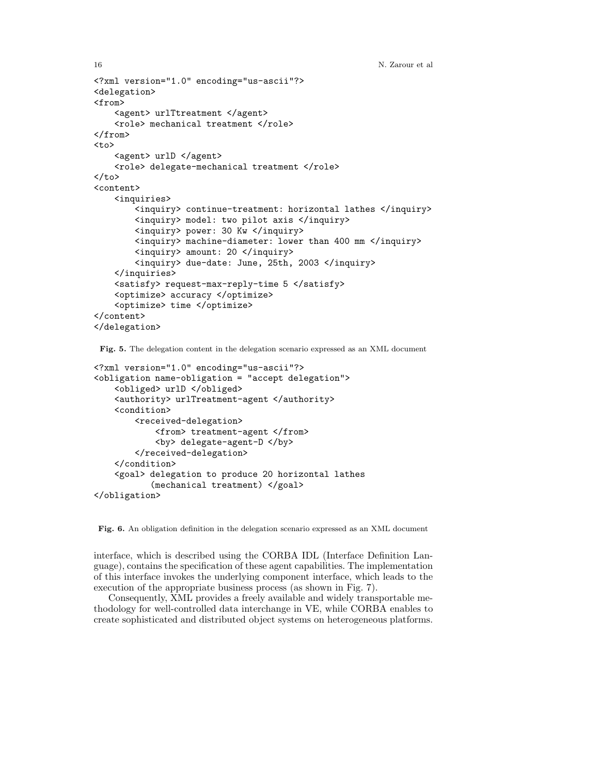```
16 N. Zarour et al.
<?xml version="1.0" encoding="us-ascii"?>
<delegation>
<from>
   <agent> urlTtreatment </agent>
   <role> mechanical treatment </role>
</from>
<to>
   <agent> urlD </agent>
   <role> delegate-mechanical treatment </role>
</to>
<content>
   <inquiries>
       <inquiry> continue-treatment: horizontal lathes </inquiry>
       <inquiry> model: two pilot axis </inquiry>
       <inquiry> power: 30 Kw </inquiry>
       <inquiry> machine-diameter: lower than 400 mm </inquiry>
       <inquiry> amount: 20 </inquiry>
       <inquiry> due-date: June, 25th, 2003 </inquiry>
   </inquiries>
   <satisfy> request-max-reply-time 5 </satisfy>
   <optimize> accuracy </optimize>
   <optimize> time </optimize>
</content>
</delegation>
```
**Fig. 5.** The delegation content in the delegation scenario expressed as an XML document

```
<?xml version="1.0" encoding="us-ascii"?>
<obligation name-obligation = "accept delegation">
   <obliged> urlD </obliged>
   <authority> urlTreatment-agent </authority>
   <condition>
        <received-delegation>
            <from> treatment-agent </from>
            <by> delegate-agent-D </by>
        </received-delegation>
   </condition>
    <goal> delegation to produce 20 horizontal lathes
           (mechanical treatment) </goal>
</obligation>
```
**Fig. 6.** An obligation definition in the delegation scenario expressed as an XML document

interface, which is described using the CORBA IDL (Interface Definition Language), contains the specification of these agent capabilities. The implementation of this interface invokes the underlying component interface, which leads to the execution of the appropriate business process (as shown in Fig. 7).

Consequently, XML provides a freely available and widely transportable methodology for well-controlled data interchange in VE, while CORBA enables to create sophisticated and distributed object systems on heterogeneous platforms.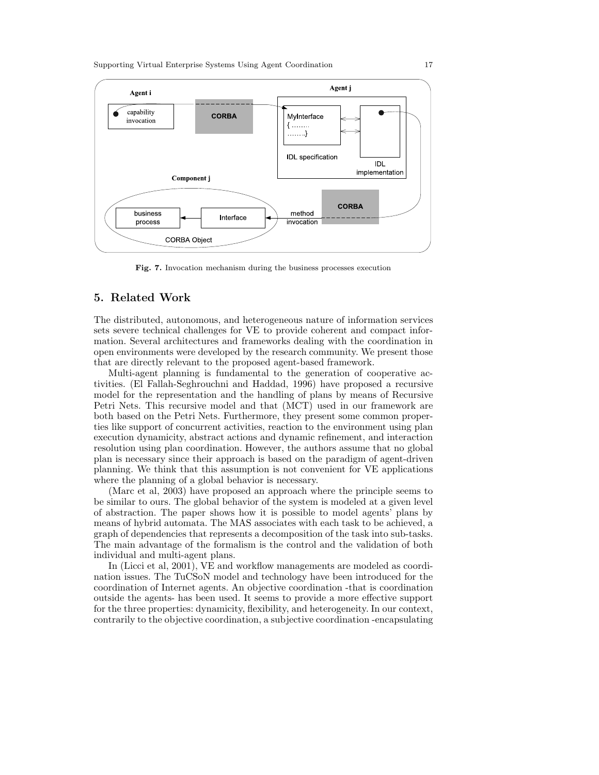

**Fig. 7.** Invocation mechanism during the business processes execution

## **5. Related Work**

The distributed, autonomous, and heterogeneous nature of information services sets severe technical challenges for VE to provide coherent and compact information. Several architectures and frameworks dealing with the coordination in open environments were developed by the research community. We present those that are directly relevant to the proposed agent-based framework.

Multi-agent planning is fundamental to the generation of cooperative activities. (El Fallah-Seghrouchni and Haddad, 1996) have proposed a recursive model for the representation and the handling of plans by means of Recursive Petri Nets. This recursive model and that (MCT) used in our framework are both based on the Petri Nets. Furthermore, they present some common properties like support of concurrent activities, reaction to the environment using plan execution dynamicity, abstract actions and dynamic refinement, and interaction resolution using plan coordination. However, the authors assume that no global plan is necessary since their approach is based on the paradigm of agent-driven planning. We think that this assumption is not convenient for VE applications where the planning of a global behavior is necessary.

(Marc et al, 2003) have proposed an approach where the principle seems to be similar to ours. The global behavior of the system is modeled at a given level of abstraction. The paper shows how it is possible to model agents' plans by means of hybrid automata. The MAS associates with each task to be achieved, a graph of dependencies that represents a decomposition of the task into sub-tasks. The main advantage of the formalism is the control and the validation of both individual and multi-agent plans.

In (Licci et al, 2001), VE and workflow managements are modeled as coordination issues. The TuCSoN model and technology have been introduced for the coordination of Internet agents. An objective coordination -that is coordination outside the agents- has been used. It seems to provide a more effective support for the three properties: dynamicity, flexibility, and heterogeneity. In our context, contrarily to the objective coordination, a subjective coordination -encapsulating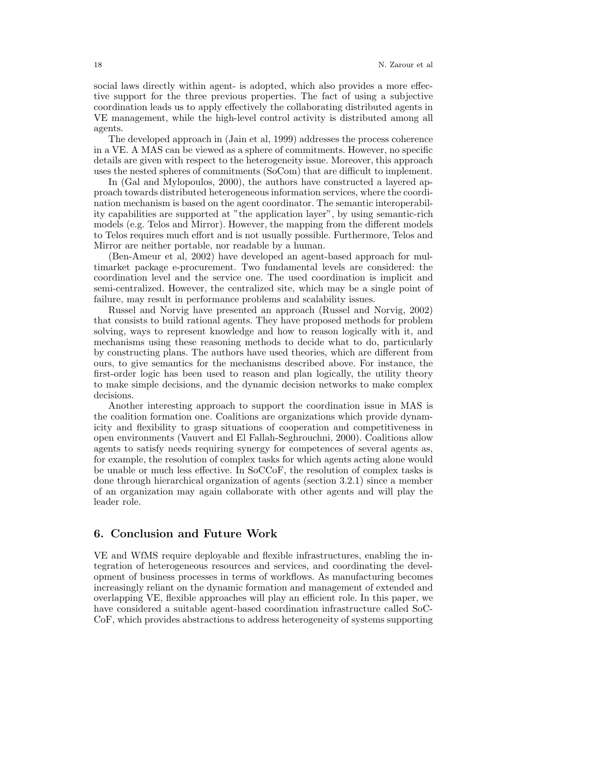social laws directly within agent- is adopted, which also provides a more effective support for the three previous properties. The fact of using a subjective coordination leads us to apply effectively the collaborating distributed agents in VE management, while the high-level control activity is distributed among all agents.

The developed approach in (Jain et al, 1999) addresses the process coherence in a VE. A MAS can be viewed as a sphere of commitments. However, no specific details are given with respect to the heterogeneity issue. Moreover, this approach uses the nested spheres of commitments (SoCom) that are difficult to implement.

In (Gal and Mylopoulos, 2000), the authors have constructed a layered approach towards distributed heterogeneous information services, where the coordination mechanism is based on the agent coordinator. The semantic interoperability capabilities are supported at "the application layer", by using semantic-rich models (e.g. Telos and Mirror). However, the mapping from the different models to Telos requires much effort and is not usually possible. Furthermore, Telos and Mirror are neither portable, nor readable by a human.

(Ben-Ameur et al, 2002) have developed an agent-based approach for multimarket package e-procurement. Two fundamental levels are considered: the coordination level and the service one. The used coordination is implicit and semi-centralized. However, the centralized site, which may be a single point of failure, may result in performance problems and scalability issues.

Russel and Norvig have presented an approach (Russel and Norvig, 2002) that consists to build rational agents. They have proposed methods for problem solving, ways to represent knowledge and how to reason logically with it, and mechanisms using these reasoning methods to decide what to do, particularly by constructing plans. The authors have used theories, which are different from ours, to give semantics for the mechanisms described above. For instance, the first-order logic has been used to reason and plan logically, the utility theory to make simple decisions, and the dynamic decision networks to make complex decisions.

Another interesting approach to support the coordination issue in MAS is the coalition formation one. Coalitions are organizations which provide dynamicity and flexibility to grasp situations of cooperation and competitiveness in open environments (Vauvert and El Fallah-Seghrouchni, 2000). Coalitions allow agents to satisfy needs requiring synergy for competences of several agents as, for example, the resolution of complex tasks for which agents acting alone would be unable or much less effective. In SoCCoF, the resolution of complex tasks is done through hierarchical organization of agents (section 3.2.1) since a member of an organization may again collaborate with other agents and will play the leader role.

## **6. Conclusion and Future Work**

VE and WfMS require deployable and flexible infrastructures, enabling the integration of heterogeneous resources and services, and coordinating the development of business processes in terms of workflows. As manufacturing becomes increasingly reliant on the dynamic formation and management of extended and overlapping VE, flexible approaches will play an efficient role. In this paper, we have considered a suitable agent-based coordination infrastructure called SoC-CoF, which provides abstractions to address heterogeneity of systems supporting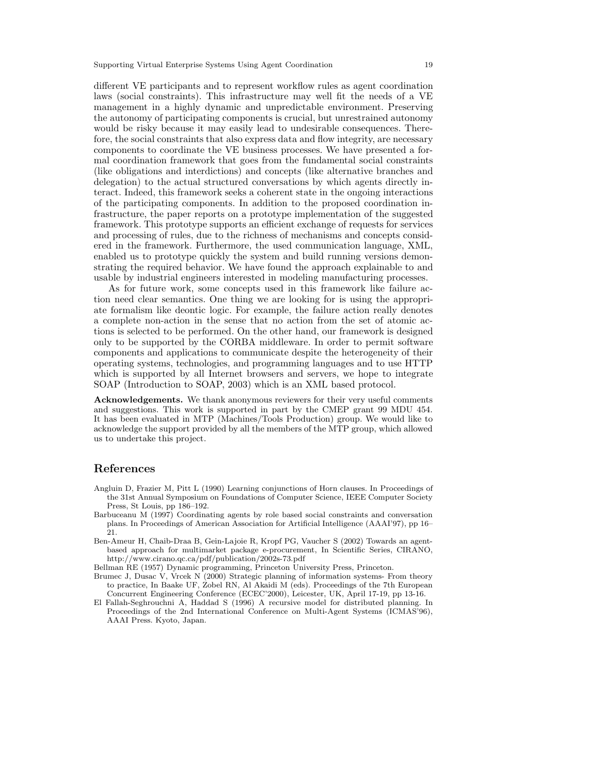different VE participants and to represent workflow rules as agent coordination laws (social constraints). This infrastructure may well fit the needs of a VE management in a highly dynamic and unpredictable environment. Preserving the autonomy of participating components is crucial, but unrestrained autonomy would be risky because it may easily lead to undesirable consequences. Therefore, the social constraints that also express data and flow integrity, are necessary components to coordinate the VE business processes. We have presented a formal coordination framework that goes from the fundamental social constraints (like obligations and interdictions) and concepts (like alternative branches and delegation) to the actual structured conversations by which agents directly interact. Indeed, this framework seeks a coherent state in the ongoing interactions of the participating components. In addition to the proposed coordination infrastructure, the paper reports on a prototype implementation of the suggested framework. This prototype supports an efficient exchange of requests for services and processing of rules, due to the richness of mechanisms and concepts considered in the framework. Furthermore, the used communication language, XML, enabled us to prototype quickly the system and build running versions demonstrating the required behavior. We have found the approach explainable to and usable by industrial engineers interested in modeling manufacturing processes.

As for future work, some concepts used in this framework like failure action need clear semantics. One thing we are looking for is using the appropriate formalism like deontic logic. For example, the failure action really denotes a complete non-action in the sense that no action from the set of atomic actions is selected to be performed. On the other hand, our framework is designed only to be supported by the CORBA middleware. In order to permit software components and applications to communicate despite the heterogeneity of their operating systems, technologies, and programming languages and to use HTTP which is supported by all Internet browsers and servers, we hope to integrate SOAP (Introduction to SOAP, 2003) which is an XML based protocol.

**Acknowledgements.** We thank anonymous reviewers for their very useful comments and suggestions. This work is supported in part by the CMEP grant 99 MDU 454. It has been evaluated in MTP (Machines/Tools Production) group. We would like to acknowledge the support provided by all the members of the MTP group, which allowed us to undertake this project.

## **References**

- Angluin D, Frazier M, Pitt L (1990) Learning conjunctions of Horn clauses. In Proceedings of the 31st Annual Symposium on Foundations of Computer Science, IEEE Computer Society Press, St Louis, pp 186–192.
- Barbuceanu M (1997) Coordinating agents by role based social constraints and conversation plans. In Proceedings of American Association for Artificial Intelligence (AAAI'97), pp 16– 21.
- Ben-Ameur H, Chaib-Draa B, Gein-Lajoie R, Kropf PG, Vaucher S (2002) Towards an agentbased approach for multimarket package e-procurement, In Scientific Series, CIRANO, http://www.cirano.qc.ca/pdf/publication/2002s-73.pdf

Bellman RE (1957) Dynamic programming, Princeton University Press, Princeton.

- Brumec J, Dusac V, Vrcek N (2000) Strategic planning of information systems- From theory to practice, In Baake UF, Zobel RN, Al Akaidi M (eds). Proceedings of the 7th European Concurrent Engineering Conference (ECEC'2000), Leicester, UK, April 17-19, pp 13-16.
- El Fallah-Seghrouchni A, Haddad S (1996) A recursive model for distributed planning. In Proceedings of the 2nd International Conference on Multi-Agent Systems (ICMAS'96), AAAI Press. Kyoto, Japan.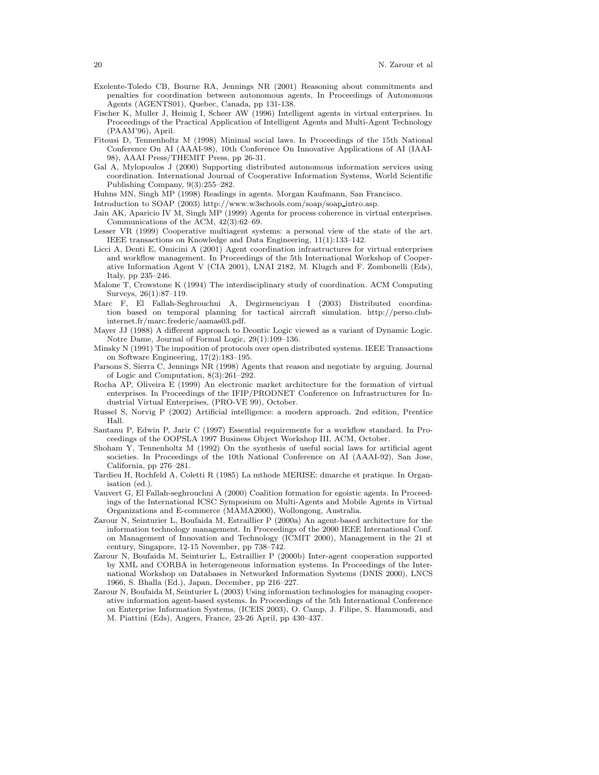- Exelente-Toledo CB, Bourne RA, Jennings NR (2001) Reasoning about commitments and penalties for coordination between autonomous agents, In Proceedings of Autonomous Agents (AGENTS01), Quebec, Canada, pp 131-138.
- Fischer K, Muller J, Heimig I, Scheer AW (1996) Intelligent agents in virtual enterprises. In Proceedings of the Practical Application of Intelligent Agents and Multi-Agent Technology (PAAM'96), April.
- Fitousi D, Tennenholtz M (1998) Minimal social laws. In Proceedings of the 15th National Conference On AI (AAAI-98), 10th Conference On Innovative Applications of AI (IAAI-98), AAAI Press/THEMIT Press, pp 26-31.
- Gal A, Mylopoulos J (2000) Supporting distributed autonomous information services using coordination. International Journal of Cooperative Information Systems, World Scientific Publishing Company, 9(3):255–282.
- Huhns MN, Singh MP (1998) Readings in agents. Morgan Kaufmann, San Francisco.
- Introduction to SOAP (2003) http://www.w3schools.com/soap/soap intro.asp.
- Jain AK, Aparicio IV M, Singh MP (1999) Agents for process coherence in virtual enterprises. Communications of the ACM, 42(3):62–69.
- Lesser VR (1999) Cooperative multiagent systems: a personal view of the state of the art. IEEE transactions on Knowledge and Data Engineering, 11(1):133–142.
- Licci A, Denti E, Omicini A (2001) Agent coordination infrastructures for virtual enterprises and workflow management. In Proceedings of the 5th International Workshop of Cooperative Information Agent V (CIA 2001), LNAI 2182, M. Klugch and F. Zombonelli (Eds), Italy, pp 235–246.
- Malone T, Crowstone K (1994) The interdisciplinary study of coordination. ACM Computing Surveys, 26(1):87–119.
- Marc F, El Fallah-Seghrouchni A, Degirmenciyan I (2003) Distributed coordination based on temporal planning for tactical aircraft simulation. http://perso.clubinternet.fr/marc.frederic/aamas03.pdf.
- Mayer JJ (1988) A different approach to Deontic Logic viewed as a variant of Dynamic Logic. Notre Dame, Journal of Formal Logic, 29(1):109–136.
- Minsky N (1991) The imposition of protocols over open distributed systems. IEEE Transactions on Software Engineering, 17(2):183–195.
- Parsons S, Sierra C, Jennings NR(1998) Agents that reason and negotiate by arguing. Journal of Logic and Computation, 8(3):261–292.
- Rocha AP, Oliveira E (1999) An electronic market architecture for the formation of virtual enterprises. In Proceedings of the IFIP/PRODNET Conference on Infrastructures for Industrial Virtual Enterprises, (PRO-VE 99), October.
- Russel S, Norvig P (2002) Artificial intelligence: a modern approach. 2nd edition, Prentice Hall.
- Santanu P, Edwin P, Jarir C (1997) Essential requirements for a workflow standard. In Proceedings of the OOPSLA 1997 Business Object Workshop III, ACM, October.
- Shoham Y, Tennenholtz M (1992) On the synthesis of useful social laws for artificial agent societies. In Proceedings of the 10th National Conference on AI (AAAI-92), San Jose, California, pp 276–281.
- Tardieu H, Rochfeld A, Coletti R (1985) La mthode MERISE: dmarche et pratique. In Organisation (ed.).
- Vauvert G, El Fallah-seghrouchni A (2000) Coalition formation for egoistic agents. In Proceedings of the International ICSC Symposium on Multi-Agents and Mobile Agents in Virtual Organizations and E-commerce (MAMA2000), Wollongong, Australia.
- Zarour N, Seinturier L, Boufaida M, Estraillier P (2000a) An agent-based architecture for the information technology management. In Proceedings of the 2000 IEEE International Conf. on Management of Innovation and Technology (ICMIT 2000), Management in the 21 st century, Singapore, 12-15 November, pp 738–742.
- Zarour N, Boufaida M, Seinturier L, Estraillier P (2000b) Inter-agent cooperation supported by XML and CORBA in heterogeneous information systems. In Proceedings of the International Workshop on Databases in Networked Information Systems (DNIS 2000), LNCS 1966, S. Bhalla (Ed.), Japan, December, pp 216–227.
- Zarour N, Boufaida M, Seinturier L (2003) Using information technologies for managing cooperative information agent-based systems. In Proceedings of the 5th International Conference on Enterprise Information Systems, (ICEIS 2003), O. Camp, J. Filipe, S. Hammoudi, and M. Piattini (Eds), Angers, France, 23-26 April, pp 430–437.